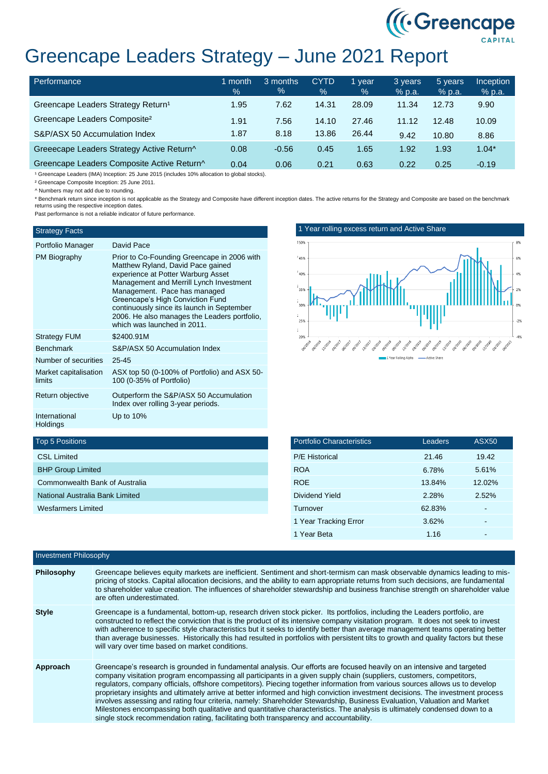

# Greencape Leaders Strategy – June 2021 Report

| Performance                                    | 1 month<br>$\frac{1}{2}$ | 3 months<br>$\frac{9}{6}$ | <b>CYTD</b><br>$\%$ | 1 year<br>$\%$ | 3 years<br>$%$ p.a. | 5 years<br>$%$ p.a. | <b>Inception</b><br>$%$ p.a. |
|------------------------------------------------|--------------------------|---------------------------|---------------------|----------------|---------------------|---------------------|------------------------------|
| Greencape Leaders Strategy Return <sup>1</sup> | 1.95                     | 7.62                      | 14.31               | 28.09          | 11.34               | 12.73               | 9.90                         |
| Greencape Leaders Composite <sup>2</sup>       | 1.91                     | 7.56                      | 14.10               | 27.46          | 11.12               | 12.48               | 10.09                        |
| S&P/ASX 50 Accumulation Index                  | 1.87                     | 8.18                      | 13.86               | 26.44          | 9.42                | 10.80               | 8.86                         |
| Greeecape Leaders Strategy Active Return^      | 0.08                     | $-0.56$                   | 0.45                | 1.65           | 1.92                | 1.93                | $1.04*$                      |
| Greencape Leaders Composite Active Return^     | 0.04                     | 0.06                      | 0.21                | 0.63           | 0.22                | 0.25                | $-0.19$                      |

<sup>1</sup> Greencape Leaders (IMA) Inception: 25 June 2015 (includes 10% allocation to global stocks).

² Greencape Composite Inception: 25 June 2011.

^ Numbers may not add due to rounding.

\* Benchmark return since inception is not applicable as the Strategy and Composite have different inception dates. The active returns for the Strategy and Composite are based on the benchmark returns using the respective inception dates.

Past performance is not a reliable indicator of future performance.

#### Strategy Facts

| Portfolio Manager | David Pace                                                                                                                                                                                                                            |
|-------------------|---------------------------------------------------------------------------------------------------------------------------------------------------------------------------------------------------------------------------------------|
| PM Biography      | Prior to Co-Founding Greencape in 2006 with<br>Matthew Ryland, David Pace gained<br>experience at Potter Warburg Asset<br>Management and Merrill Lynch Investment<br>Management. Pace has managed<br>Greencane's High Conviction Fund |

|                                  | Greencape's High Conviction Fund<br>continuously since its launch in September<br>2006. He also manages the Leaders portfolio.<br>which was launched in 2011. |
|----------------------------------|---------------------------------------------------------------------------------------------------------------------------------------------------------------|
| <b>Strategy FUM</b>              | \$2400.91M                                                                                                                                                    |
| <b>Benchmark</b>                 | S&P/ASX 50 Accumulation Index                                                                                                                                 |
| Number of securities             | 25 45                                                                                                                                                         |
| Market capitalisation<br>limits  | ASX top 50 (0-100% of Portfolio) and ASX 50-<br>100 (0-35% of Portfolio)                                                                                      |
| Return objective                 | Outperform the S&P/ASX 50 Accumulation<br>Index over rolling 3-year periods.                                                                                  |
| International<br><b>Holdings</b> | Up to 10%                                                                                                                                                     |



| <b>Portfolio Characteristics</b> | Leaders | <b>ASX50</b> |
|----------------------------------|---------|--------------|
| <b>P/E Historical</b>            | 21.46   | 19.42        |
| <b>ROA</b>                       | 6.78%   | 5.61%        |
| <b>ROE</b>                       | 13.84%  | 12.02%       |
| Dividend Yield                   | 2.28%   | 2.52%        |
| Turnover                         | 62.83%  |              |
| 1 Year Tracking Error            | 3.62%   |              |
| 1 Year Beta                      | 1.16    |              |

## Top 5 Positions

| Investment Philosophy |                                                                                                                                                                                                                                                                                                                                                                                                                                                                                                                                                                                                                                                                                                                                                                                                                                                                    |  |
|-----------------------|--------------------------------------------------------------------------------------------------------------------------------------------------------------------------------------------------------------------------------------------------------------------------------------------------------------------------------------------------------------------------------------------------------------------------------------------------------------------------------------------------------------------------------------------------------------------------------------------------------------------------------------------------------------------------------------------------------------------------------------------------------------------------------------------------------------------------------------------------------------------|--|
| Philosophy            | Greencape believes equity markets are inefficient. Sentiment and short-termism can mask observable dynamics leading to mis-<br>pricing of stocks. Capital allocation decisions, and the ability to earn appropriate returns from such decisions, are fundamental<br>to shareholder value creation. The influences of shareholder stewardship and business franchise strength on shareholder value<br>are often underestimated.                                                                                                                                                                                                                                                                                                                                                                                                                                     |  |
| <b>Style</b>          | Greencape is a fundamental, bottom-up, research driven stock picker. Its portfolios, including the Leaders portfolio, are<br>constructed to reflect the conviction that is the product of its intensive company visitation program. It does not seek to invest<br>with adherence to specific style characteristics but it seeks to identify better than average management teams operating better<br>than average businesses. Historically this had resulted in portfolios with persistent tilts to growth and quality factors but these<br>will vary over time based on market conditions.                                                                                                                                                                                                                                                                        |  |
| Approach              | Greencape's research is grounded in fundamental analysis. Our efforts are focused heavily on an intensive and targeted<br>company visitation program encompassing all participants in a given supply chain (suppliers, customers, competitors,<br>regulators, company officials, offshore competitors). Piecing together information from various sources allows us to develop<br>proprietary insights and ultimately arrive at better informed and high conviction investment decisions. The investment process<br>involves assessing and rating four criteria, namely: Shareholder Stewardship, Business Evaluation, Valuation and Market<br>Milestones encompassing both qualitative and quantitative characteristics. The analysis is ultimately condensed down to a<br>single stock recommendation rating, facilitating both transparency and accountability. |  |